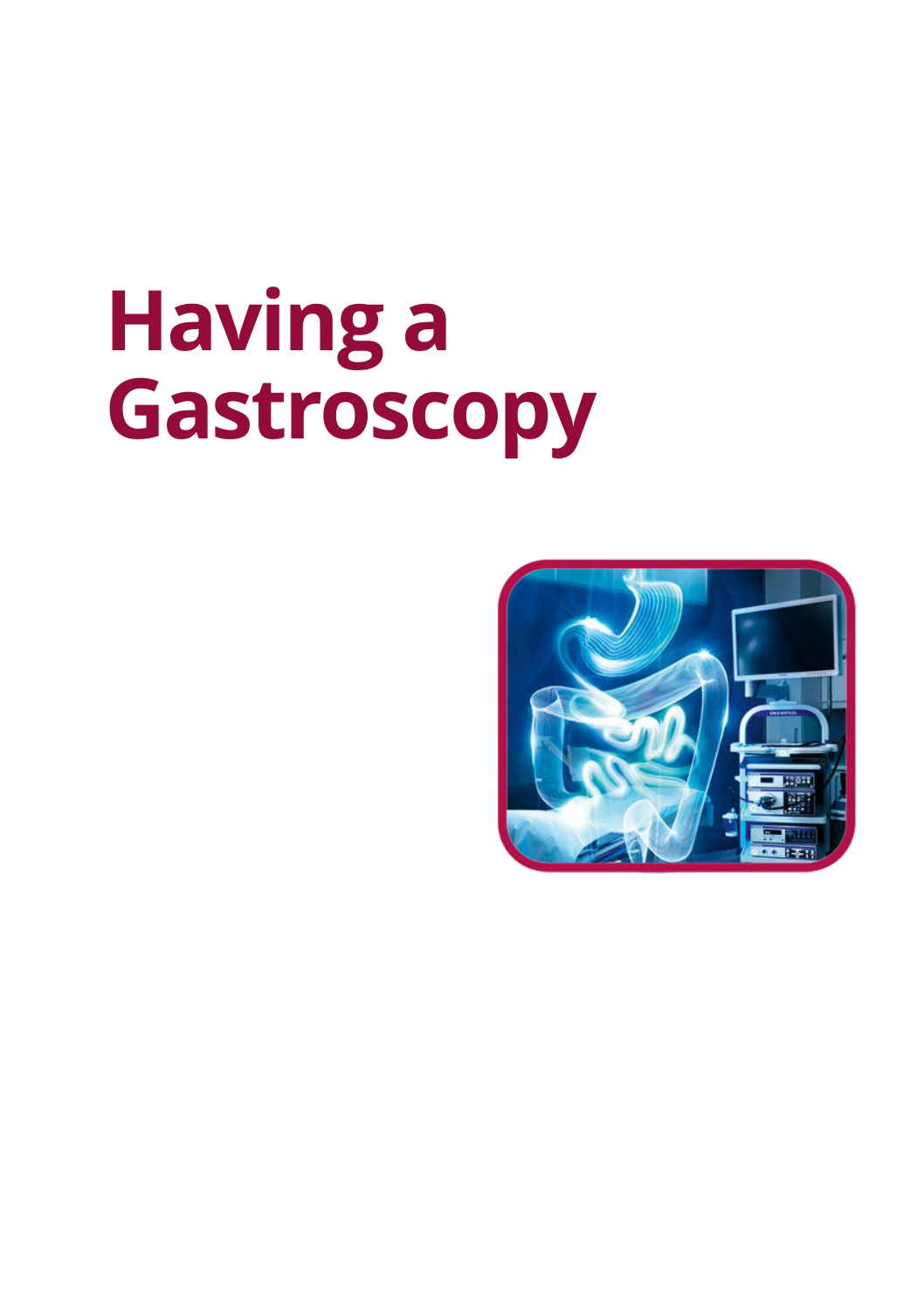# **Having a Gastroscopy**

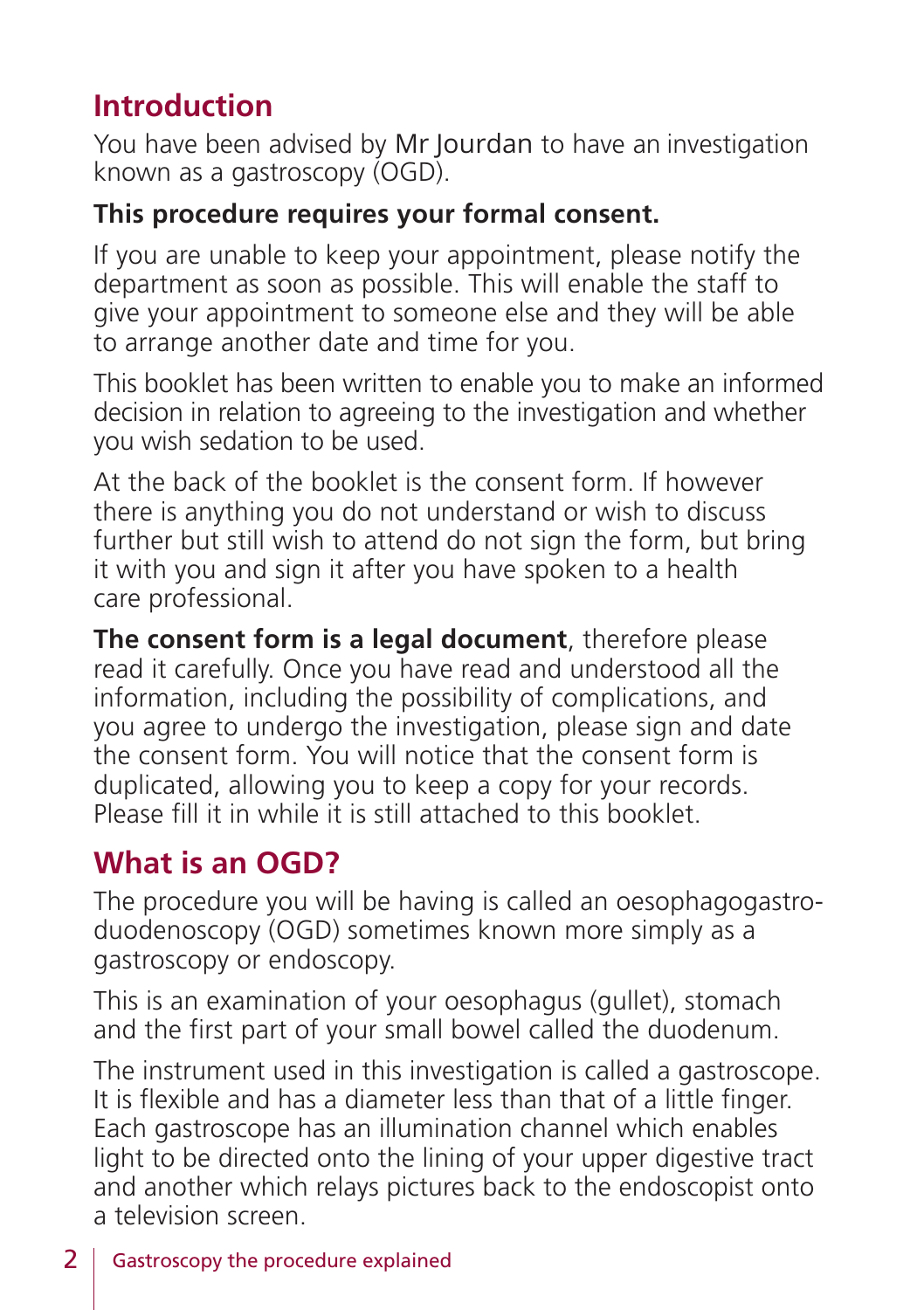## **Introduction**

You have been advised by Mr Jourdan to have an investigation known as a gastroscopy (OGD).

#### **This procedure requires your formal consent.**

If you are unable to keep your appointment, please notify the department as soon as possible. This will enable the staff to give your appointment to someone else and they will be able to arrange another date and time for you.

This booklet has been written to enable you to make an informed decision in relation to agreeing to the investigation and whether you wish sedation to be used.

At the back of the booklet is the consent form. If however there is anything you do not understand or wish to discuss further but still wish to attend do not sign the form, but bring it with you and sign it after you have spoken to a health care professional.

**The consent form is a legal document**, therefore please read it carefully. Once you have read and understood all the information, including the possibility of complications, and you agree to undergo the investigation, please sign and date the consent form. You will notice that the consent form is duplicated, allowing you to keep a copy for your records. Please fill it in while it is still attached to this booklet.

## **What is an OGD?**

The procedure you will be having is called an oesophagogastroduodenoscopy (OGD) sometimes known more simply as a gastroscopy or endoscopy.

This is an examination of your oesophagus (gullet), stomach and the first part of your small bowel called the duodenum.

The instrument used in this investigation is called a gastroscope. It is flexible and has a diameter less than that of a little finger. Each gastroscope has an illumination channel which enables light to be directed onto the lining of your upper digestive tract and another which relays pictures back to the endoscopist onto a television screen.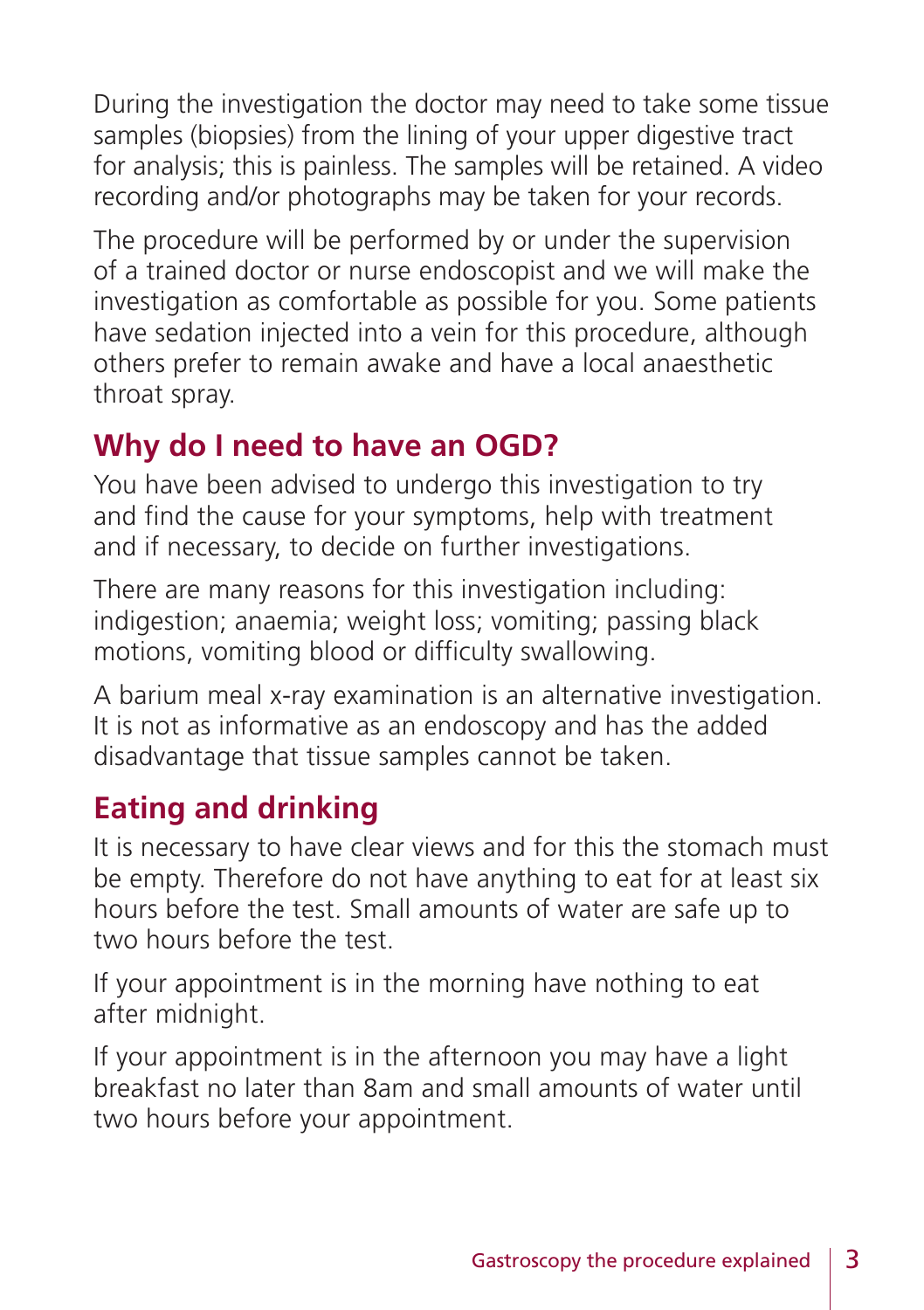During the investigation the doctor may need to take some tissue samples (biopsies) from the lining of your upper digestive tract for analysis; this is painless. The samples will be retained. A video recording and/or photographs may be taken for your records.

The procedure will be performed by or under the supervision of a trained doctor or nurse endoscopist and we will make the investigation as comfortable as possible for you. Some patients have sedation injected into a vein for this procedure, although others prefer to remain awake and have a local anaesthetic throat spray.

## **Why do I need to have an OGD?**

You have been advised to undergo this investigation to try and find the cause for your symptoms, help with treatment and if necessary, to decide on further investigations.

There are many reasons for this investigation including: indigestion; anaemia; weight loss; vomiting; passing black motions, vomiting blood or difficulty swallowing.

A barium meal x-ray examination is an alternative investigation. It is not as informative as an endoscopy and has the added disadvantage that tissue samples cannot be taken.

# **Eating and drinking**

It is necessary to have clear views and for this the stomach must be empty. Therefore do not have anything to eat for at least six hours before the test. Small amounts of water are safe up to two hours before the test.

If your appointment is in the morning have nothing to eat after midnight.

If your appointment is in the afternoon you may have a light breakfast no later than 8am and small amounts of water until two hours before your appointment.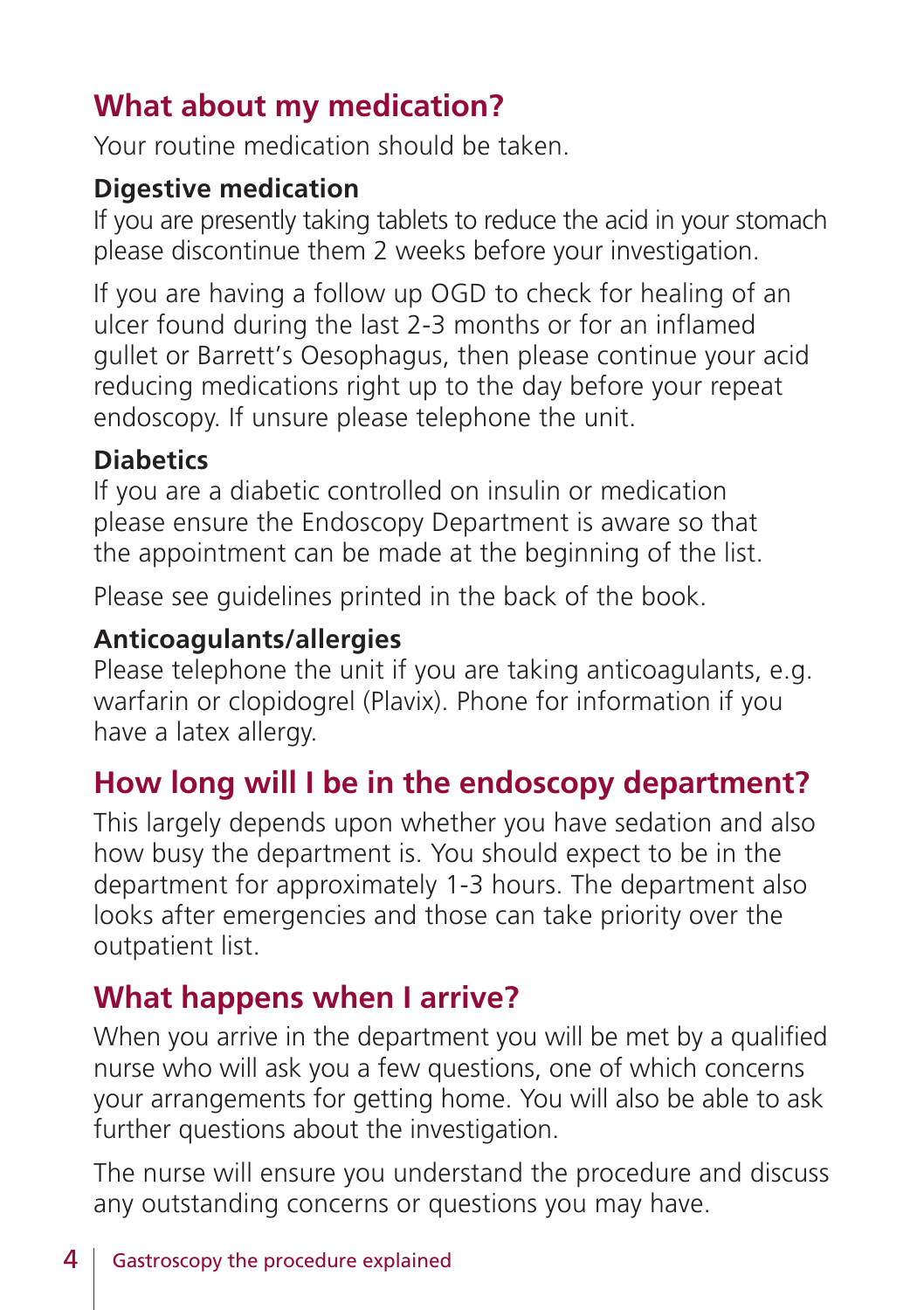# **What about my medication?**

Your routine medication should be taken.

#### **Digestive medication**

If you are presently taking tablets to reduce the acid in your stomach please discontinue them 2 weeks before your investigation.

If you are having a follow up OGD to check for healing of an ulcer found during the last 2-3 months or for an inflamed gullet or Barrett's Oesophagus, then please continue your acid reducing medications right up to the day before your repeat endoscopy. If unsure please telephone the unit.

#### **Diabetics**

If you are a diabetic controlled on insulin or medication please ensure the Endoscopy Department is aware so that the appointment can be made at the beginning of the list.

Please see guidelines printed in the back of the book.

#### **Anticoagulants/allergies**

Please telephone the unit if you are taking anticoagulants, e.g. warfarin or clopidogrel (Plavix). Phone for information if you have a latex allergy.

## **How long will I be in the endoscopy department?**

This largely depends upon whether you have sedation and also how busy the department is. You should expect to be in the department for approximately 1-3 hours. The department also looks after emergencies and those can take priority over the outpatient list.

#### **What happens when I arrive?**

When you arrive in the department you will be met by a qualified nurse who will ask you a few questions, one of which concerns your arrangements for getting home. You will also be able to ask further questions about the investigation.

The nurse will ensure you understand the procedure and discuss any outstanding concerns or questions you may have.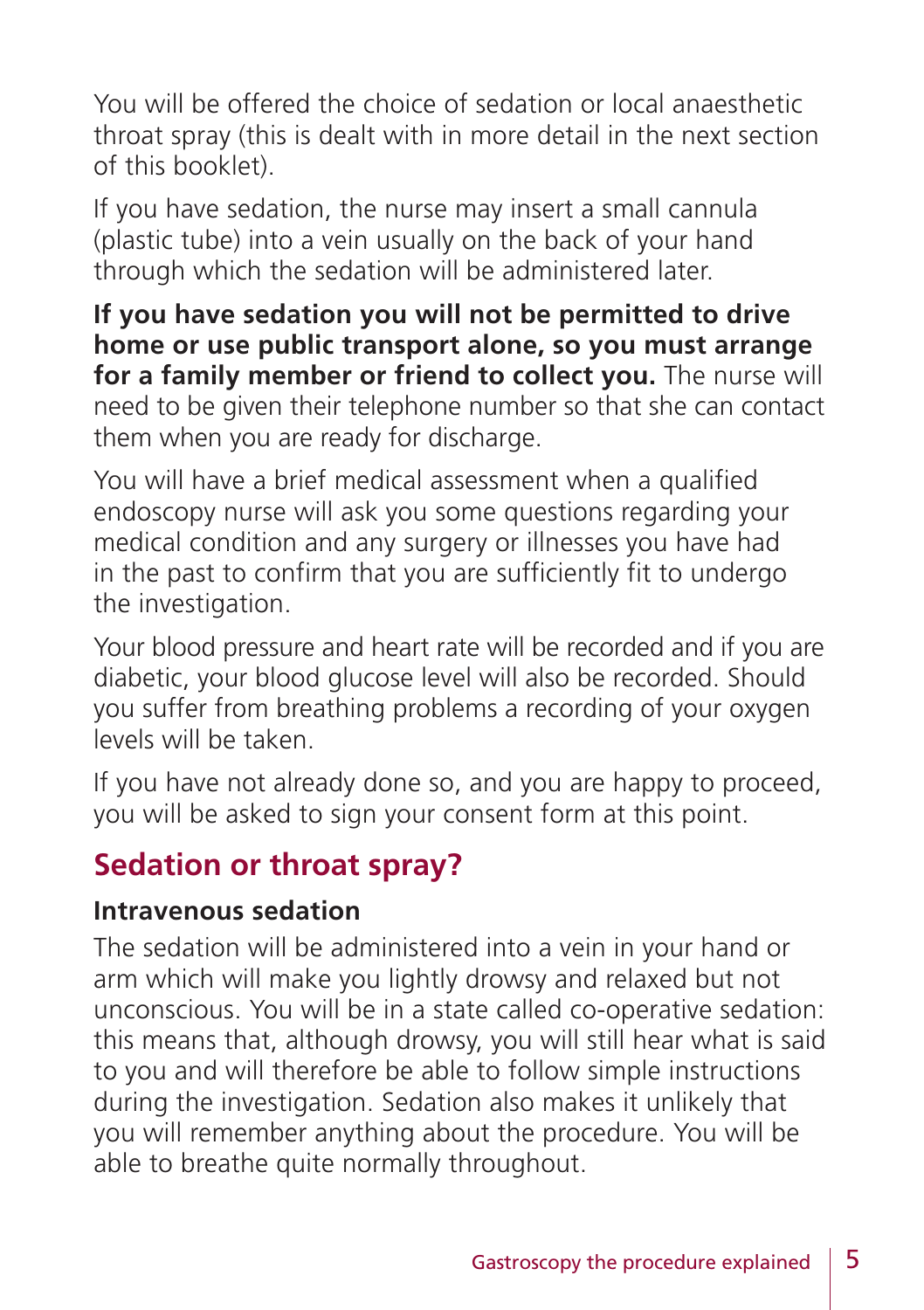You will be offered the choice of sedation or local anaesthetic throat spray (this is dealt with in more detail in the next section of this booklet).

If you have sedation, the nurse may insert a small cannula (plastic tube) into a vein usually on the back of your hand through which the sedation will be administered later.

**If you have sedation you will not be permitted to drive home or use public transport alone, so you must arrange for a family member or friend to collect you.** The nurse will need to be given their telephone number so that she can contact them when you are ready for discharge.

You will have a brief medical assessment when a qualified endoscopy nurse will ask you some questions regarding your medical condition and any surgery or illnesses you have had in the past to confirm that you are sufficiently fit to undergo the investigation.

Your blood pressure and heart rate will be recorded and if you are diabetic, your blood glucose level will also be recorded. Should you suffer from breathing problems a recording of your oxygen levels will be taken.

If you have not already done so, and you are happy to proceed, you will be asked to sign your consent form at this point.

## **Sedation or throat spray?**

#### **Intravenous sedation**

The sedation will be administered into a vein in your hand or arm which will make you lightly drowsy and relaxed but not unconscious. You will be in a state called co-operative sedation: this means that, although drowsy, you will still hear what is said to you and will therefore be able to follow simple instructions during the investigation. Sedation also makes it unlikely that you will remember anything about the procedure. You will be able to breathe quite normally throughout.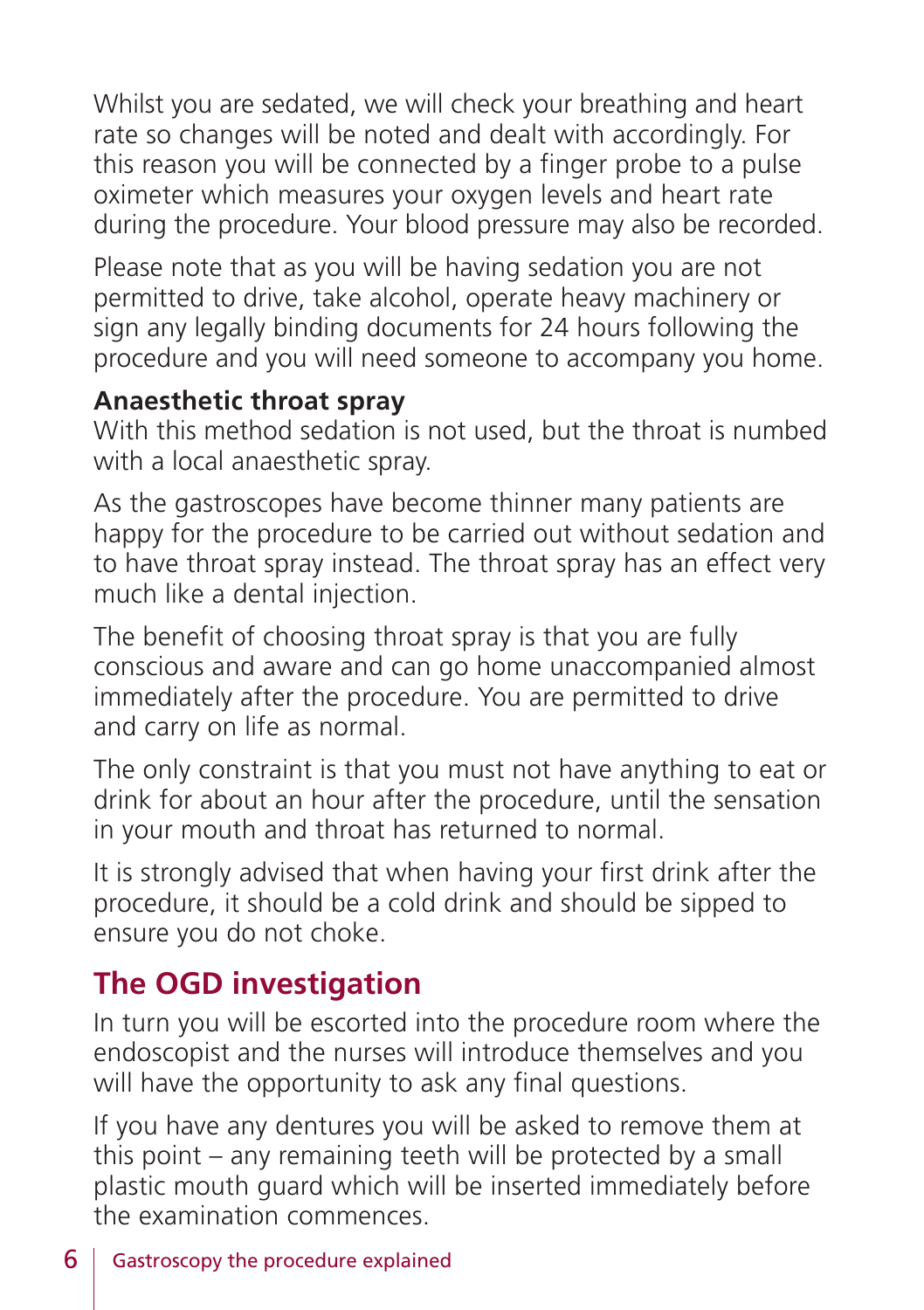Whilst you are sedated, we will check your breathing and heart rate so changes will be noted and dealt with accordingly. For this reason you will be connected by a finger probe to a pulse oximeter which measures your oxygen levels and heart rate during the procedure. Your blood pressure may also be recorded.

Please note that as you will be having sedation you are not permitted to drive, take alcohol, operate heavy machinery or sign any legally binding documents for 24 hours following the procedure and you will need someone to accompany you home.

#### **Anaesthetic throat spray**

With this method sedation is not used, but the throat is numbed with a local anaesthetic spray.

As the gastroscopes have become thinner many patients are happy for the procedure to be carried out without sedation and to have throat spray instead. The throat spray has an effect very much like a dental injection.

The benefit of choosing throat spray is that you are fully conscious and aware and can go home unaccompanied almost immediately after the procedure. You are permitted to drive and carry on life as normal.

The only constraint is that you must not have anything to eat or drink for about an hour after the procedure, until the sensation in your mouth and throat has returned to normal.

It is strongly advised that when having your first drink after the procedure, it should be a cold drink and should be sipped to ensure you do not choke.

# **The OGD investigation**

In turn you will be escorted into the procedure room where the endoscopist and the nurses will introduce themselves and you will have the opportunity to ask any final questions.

If you have any dentures you will be asked to remove them at this point – any remaining teeth will be protected by a small plastic mouth guard which will be inserted immediately before the examination commences.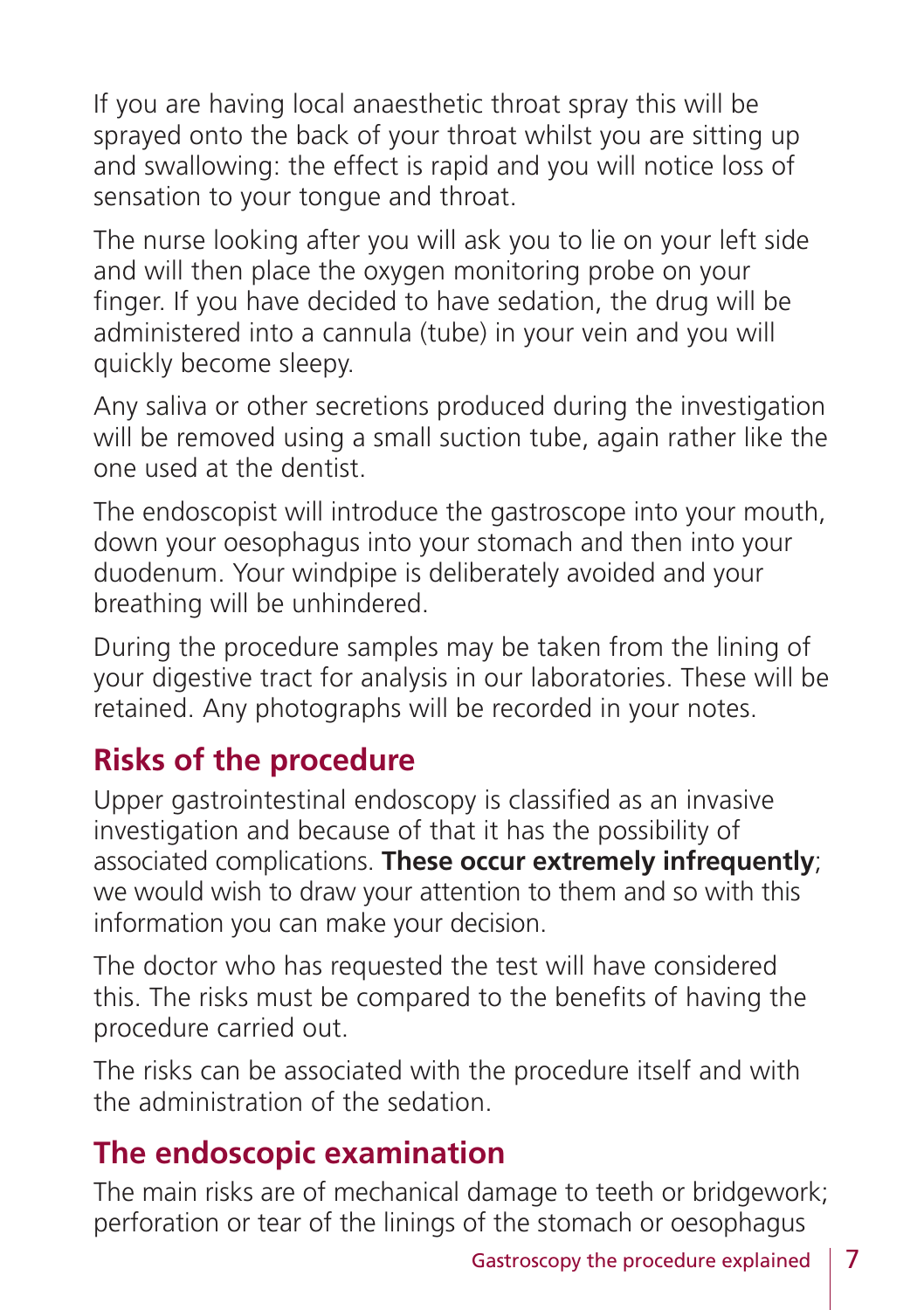If you are having local anaesthetic throat spray this will be sprayed onto the back of your throat whilst you are sitting up and swallowing: the effect is rapid and you will notice loss of sensation to your tongue and throat.

The nurse looking after you will ask you to lie on your left side and will then place the oxygen monitoring probe on your finger. If you have decided to have sedation, the drug will be administered into a cannula (tube) in your vein and you will quickly become sleepy.

Any saliva or other secretions produced during the investigation will be removed using a small suction tube, again rather like the one used at the dentist.

The endoscopist will introduce the gastroscope into your mouth, down your oesophagus into your stomach and then into your duodenum. Your windpipe is deliberately avoided and your breathing will be unhindered.

During the procedure samples may be taken from the lining of your digestive tract for analysis in our laboratories. These will be retained. Any photographs will be recorded in your notes.

# **Risks of the procedure**

Upper gastrointestinal endoscopy is classified as an invasive investigation and because of that it has the possibility of associated complications. **These occur extremely infrequently**; we would wish to draw your attention to them and so with this information you can make your decision.

The doctor who has requested the test will have considered this. The risks must be compared to the benefits of having the procedure carried out.

The risks can be associated with the procedure itself and with the administration of the sedation.

#### **The endoscopic examination**

The main risks are of mechanical damage to teeth or bridgework; perforation or tear of the linings of the stomach or oesophagus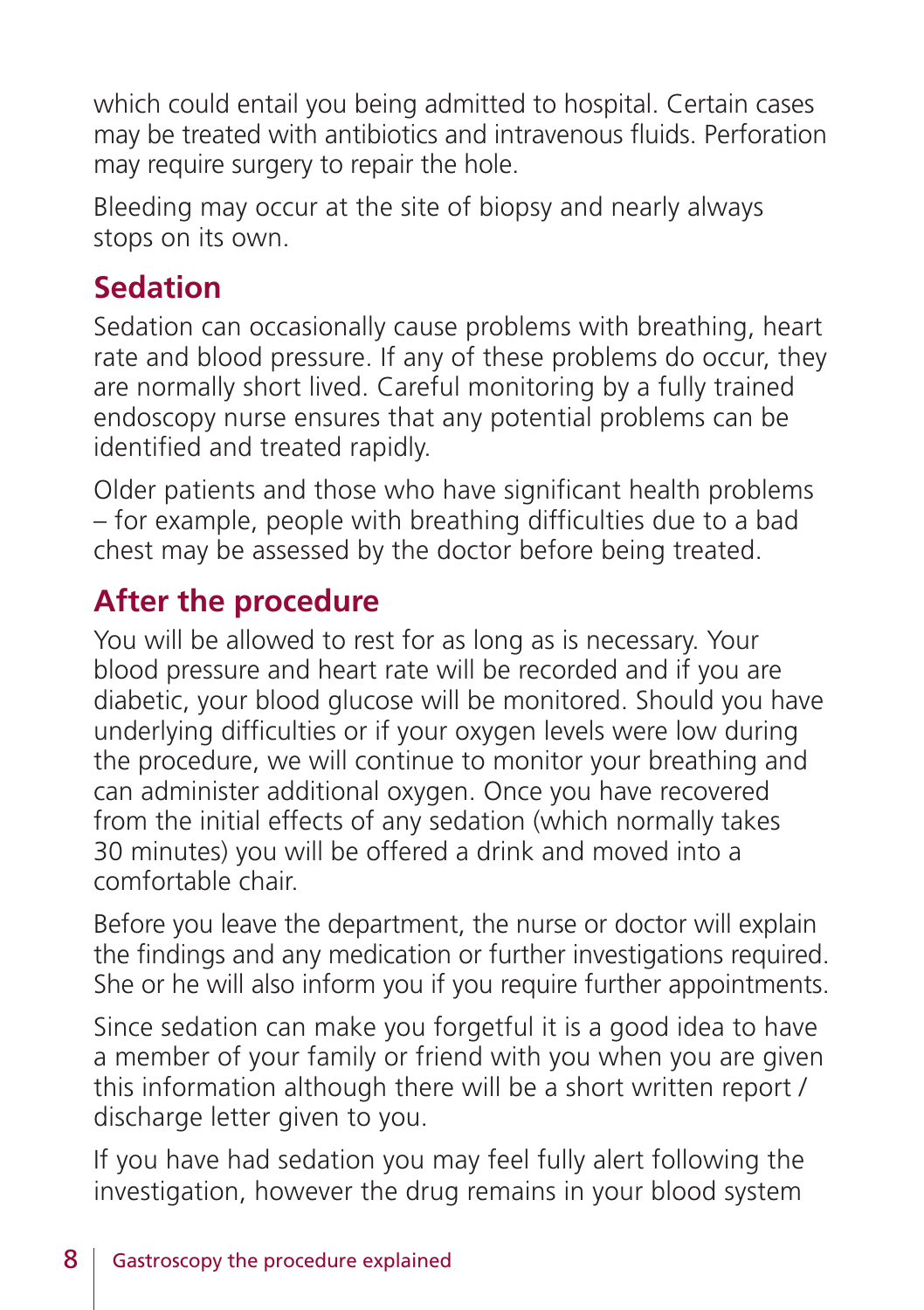which could entail you being admitted to hospital. Certain cases may be treated with antibiotics and intravenous fluids. Perforation may require surgery to repair the hole.

Bleeding may occur at the site of biopsy and nearly always stops on its own.

## **Sedation**

Sedation can occasionally cause problems with breathing, heart rate and blood pressure. If any of these problems do occur, they are normally short lived. Careful monitoring by a fully trained endoscopy nurse ensures that any potential problems can be identified and treated rapidly.

Older patients and those who have significant health problems – for example, people with breathing difficulties due to a bad chest may be assessed by the doctor before being treated.

# **After the procedure**

You will be allowed to rest for as long as is necessary. Your blood pressure and heart rate will be recorded and if you are diabetic, your blood glucose will be monitored. Should you have underlying difficulties or if your oxygen levels were low during the procedure, we will continue to monitor your breathing and can administer additional oxygen. Once you have recovered from the initial effects of any sedation (which normally takes 30 minutes) you will be offered a drink and moved into a comfortable chair.

Before you leave the department, the nurse or doctor will explain the findings and any medication or further investigations required. She or he will also inform you if you require further appointments.

Since sedation can make you forgetful it is a good idea to have a member of your family or friend with you when you are given this information although there will be a short written report / discharge letter given to you.

If you have had sedation you may feel fully alert following the investigation, however the drug remains in your blood system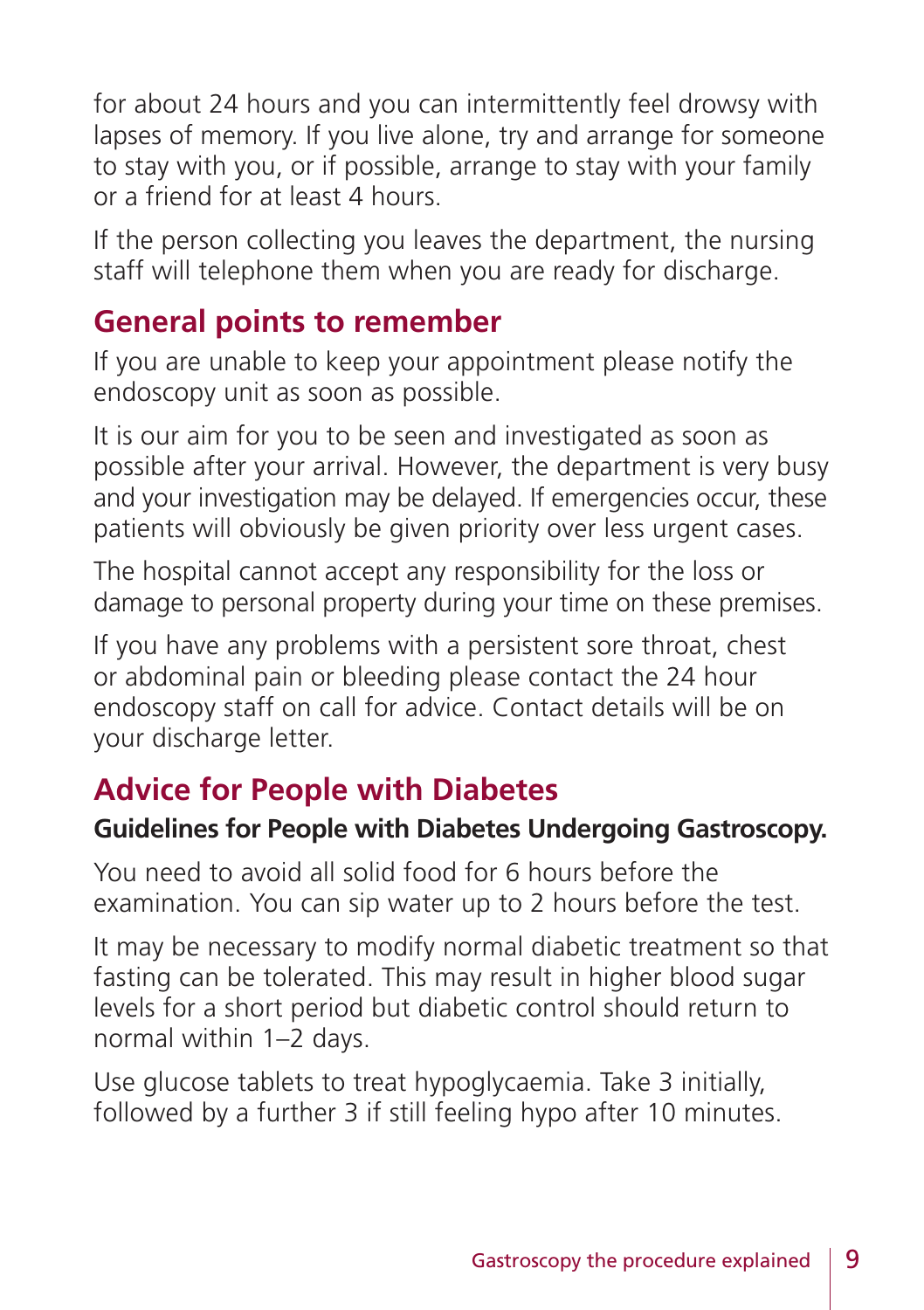for about 24 hours and you can intermittently feel drowsy with lapses of memory. If you live alone, try and arrange for someone to stay with you, or if possible, arrange to stay with your family or a friend for at least 4 hours.

If the person collecting you leaves the department, the nursing staff will telephone them when you are ready for discharge.

#### **General points to remember**

If you are unable to keep your appointment please notify the endoscopy unit as soon as possible.

It is our aim for you to be seen and investigated as soon as possible after your arrival. However, the department is very busy and your investigation may be delayed. If emergencies occur, these patients will obviously be given priority over less urgent cases.

The hospital cannot accept any responsibility for the loss or damage to personal property during your time on these premises.

If you have any problems with a persistent sore throat, chest or abdominal pain or bleeding please contact the 24 hour endoscopy staff on call for advice. Contact details will be on your discharge letter.

# **Advice for People with Diabetes**

#### **Guidelines for People with Diabetes Undergoing Gastroscopy.**

You need to avoid all solid food for 6 hours before the examination. You can sip water up to 2 hours before the test.

It may be necessary to modify normal diabetic treatment so that fasting can be tolerated. This may result in higher blood sugar levels for a short period but diabetic control should return to normal within 1–2 days.

Use glucose tablets to treat hypoglycaemia. Take 3 initially, followed by a further 3 if still feeling hypo after 10 minutes.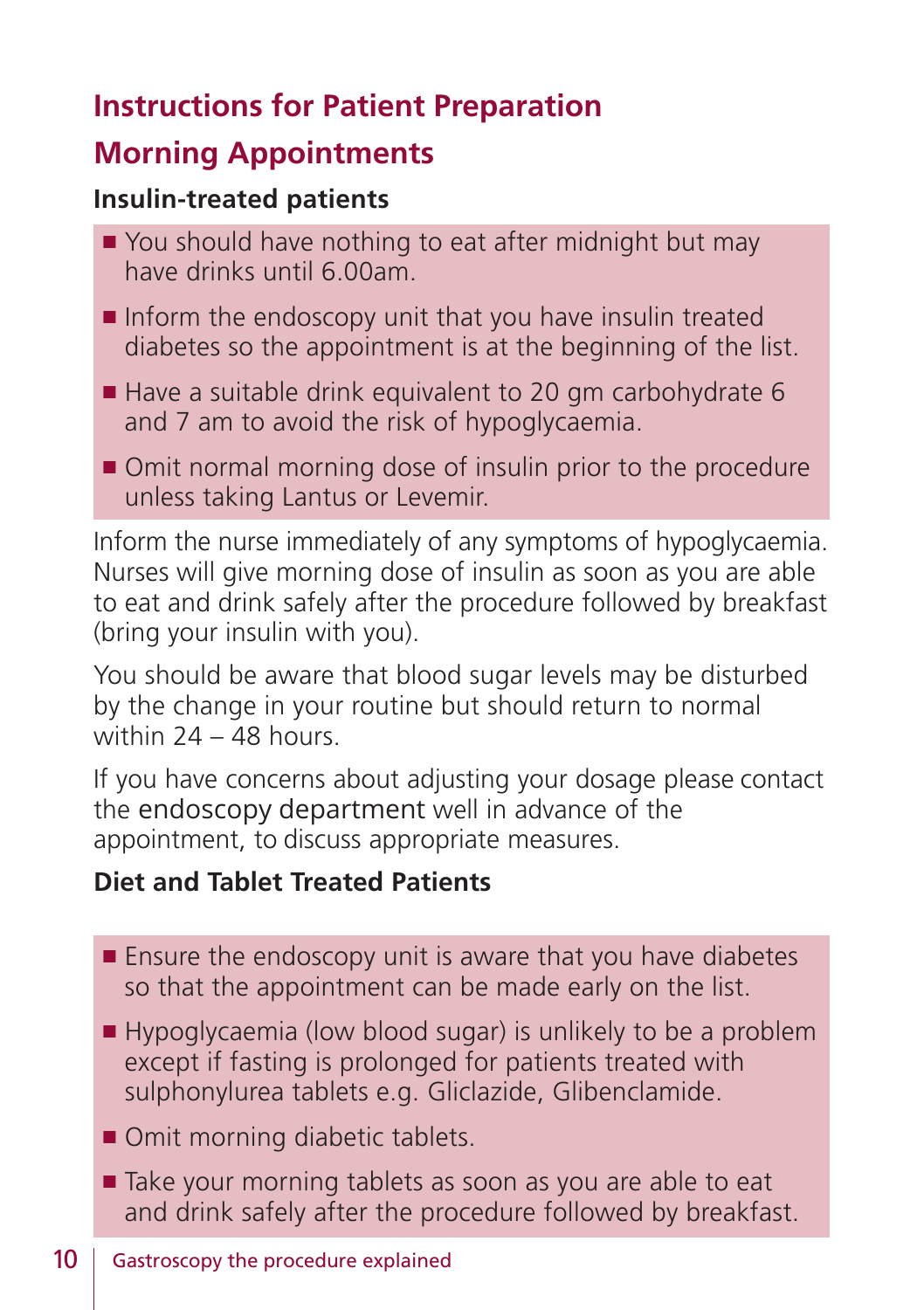# **Instructions for Patient Preparation**

#### **Morning Appointments**

#### **Insulin-treated patients**

- $\blacksquare$  You should have nothing to eat after midnight but may have drinks until 6.00am.
- $\blacksquare$  Inform the endoscopy unit that you have insulin treated diabetes so the appointment is at the beginning of the list.
- $\blacksquare$  Have a suitable drink equivalent to 20 gm carbohydrate 6 and 7 am to avoid the risk of hypoglycaemia.
- Omit normal morning dose of insulin prior to the procedure unless taking Lantus or Levemir.

Inform the nurse immediately of any symptoms of hypoglycaemia. Nurses will give morning dose of insulin as soon as you are able to eat and drink safely after the procedure followed by breakfast (bring your insulin with you).

You should be aware that blood sugar levels may be disturbed by the change in your routine but should return to normal within 24 – 48 hours.

If you have concerns about adjusting your dosage please contact the endoscopy department well in advance of the appointment, to discuss appropriate measures.

#### **Diet and Tablet Treated Patients**

- **Ensure the endoscopy unit is aware that you have diabetes** so that the appointment can be made early on the list.
- $\blacksquare$  Hypoglycaemia (low blood sugar) is unlikely to be a problem except if fasting is prolonged for patients treated with sulphonylurea tablets e.g. Gliclazide, Glibenclamide.
- Omit morning diabetic tablets.
- Take your morning tablets as soon as you are able to eat and drink safely after the procedure followed by breakfast.